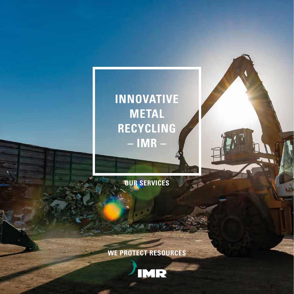### **INNOVATIVE METAL** RECYCLING  $-$  IMR  $-$

**OUR SERVICES** 

**WE PROTECT RESOURCES** 

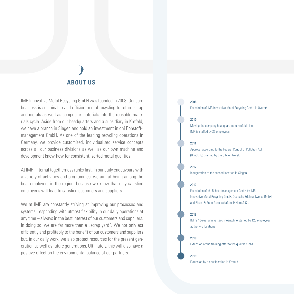## **ABOUT US**

IMR Innovative Metal Recycling GmbH was founded in 2008. Our core business is sustainable and efficient metal recycling to return scrap and metals as well as composite materials into the reusable materials cycle. Aside from our headquarters and a subsidiary in Krefeld, we have a branch in Siegen and hold an investment in dhi Rohstoffmanagement GmbH. As one of the leading recycling operations in Germany, we provide customized, individualized service concepts across all our business divisions as well as our own machine and development know-how for consistent, sorted metal qualities.

At IMR, internal togetherness ranks first. In our daily endeavours with a variety of activities and programmes, we aim at being among the best employers in the region, because we know that only satisfied employees will lead to satisfied customers and suppliers.

We at IMR are constantly striving at improving our processes and systems, responding with utmost flexibility in our daily operations at any time – always in the best interest of our customers and suppliers. In doing so, we are far more than a "scrap yard". We not only act efficiently and profitably to the benefit of our customers and suppliers but, in our daily work, we also protect resources for the present generation as well as future generations. Ultimately, this will also have a positive effect on the environmental balance of our partners.

#### **2008**

Foundation of IMR Innovative Metal Recycling GmbH in Overath

#### **2010**

Moving the company headquarters to Krefeld-Linn. IMR is staffed by 25 employees

#### **2011**

Approval according to the Federal Control of Pollution Act (BImSchG) granted by the City of Krefeld

#### **2012**

Inauguration of the second location in Siegen

#### **2012**

Foundation of dhi Rohstoffmanagement GmbH by IMR Innovative Metal Recycling GmbH, Deutsche Edelstahlwerke GmbH and Eisen- & Stein-Gesellschaft mbH Horn & Co.

#### **2018**

IMR's 10-year anniversary, meanwhile staffed by 120 employees at the two locations

#### **2018**

Extension of the training offer to ten qualified jobs

#### **2019**

Extension by a new location in Krefeld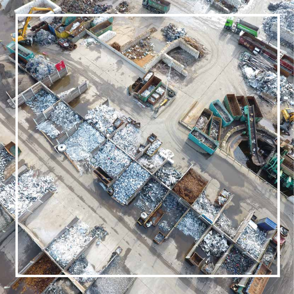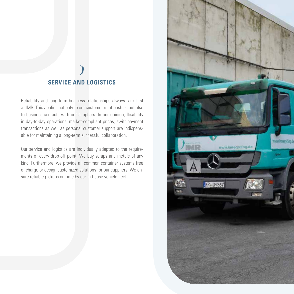### **SERVICE AND LOGISTICS**

Reliability and long-term business relationships always rank first at IMR. This applies not only to our customer relationships but also to business contacts with our suppliers. In our opinion, flexibility in day-to-day operations, market-compliant prices, swift payment transactions as well as personal customer support are indispensable for maintaining a long-term successful collaboration.

Our service and logistics are individually adapted to the requirements of every drop-off point. We buy scraps and metals of any kind. Furthermore, we provide all common container systems free of charge or design customized solutions for our suppliers. We ensure reliable pickups on time by our in-house vehicle fleet.

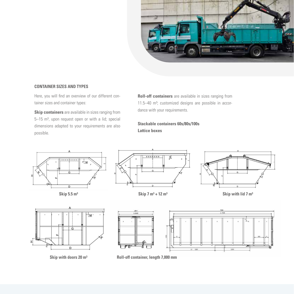

### **CONTAINER SIZES AND TYPES**

Here, you will find an overview of our different container sizes and container types:

**Skip containers** are available in sizes ranging from 5–15 m<sup>3</sup>, upon request open or with a lid; special dimensions adapted to your requirements are also possible.

**Roll-off containers** are available in sizes ranging from 11.5-40 m<sup>3</sup>; customized designs are possible in accordance with your requirements.

**Stackable containers 60s/80s/100s Lattice boxes**



**Skip 5.5 m³**



**Skip 7 m³ + 12 m³**



**Skip with lid 7 m³**



**Skip with doors 20 m³**





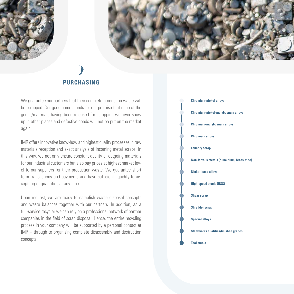



### **PURCHASING**

We guarantee our partners that their complete production waste will be scrapped. Our good name stands for our promise that none of the goods/materials having been released for scrapping will ever show up in other places and defective goods will not be put on the market again.

IMR offers innovative know-how and highest quality processes in raw materials reception and exact analysis of incoming metal scraps. In this way, we not only ensure constant quality of outgoing materials for our industrial customers but also pay prices at highest market level to our suppliers for their production waste. We guarantee short term transactions and payments and have sufficient liquidity to accept larger quantities at any time.

Upon request, we are ready to establish waste disposal concepts and waste balances together with our partners. In addition, as a full-service recycler we can rely on a professional network of partner companies in the field of scrap disposal. Hence, the entire recycling process in your company will be supported by a personal contact at IMR – through to organizing complete disassembly and destruction concepts.

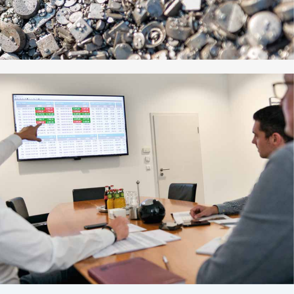

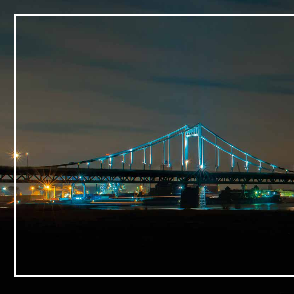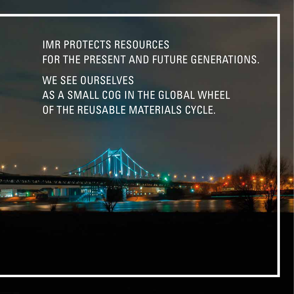### IMR PROTECTS RESOURCES FOR THE PRESENT AND FUTURE GENERATIONS. WE SEE OURSELVES AS A SMALL COG IN THE GLOBAL WHEEL OF THE REUSABLE MATERIALS CYCLE.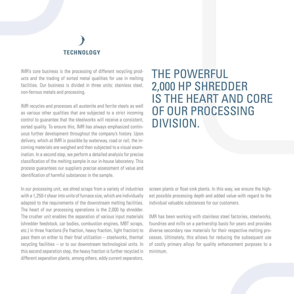# **TECHNOLOGY**

IMR's core business is the processing of different recycling products and the trading of sorted metal qualities for use in melting facilities. Our business is divided in three units: stainless steel, non-ferrous metals and processing.

IMR recycles and processes all austenite and ferrite steels as well as various other qualities that are subjected to a strict incoming control to guarantee that the steelworks will receive a consistent, sorted quality. To ensure this, IMR has always emphasized continuous further development throughout the company's history. Upon delivery, which at IMR is possible by waterway, road or rail, the incoming materials are weighed and then subjected to a visual examination. In a second step, we perform a detailed analysis for precise classification of the melting sample in our in-house laboratory. This process guarantees our suppliers precise assessment of value and identification of harmful substances in the sample.

In our processing unit, we shred scraps from a variety of industries with a 1,250-t shear into units of furnace size, which are individually adapted to the requirements of the downstream melting facilities. The heart of our processing operations is the 2,000 hp shredder. The crusher unit enables the separation of various input materials (shredder feedstock, car bodies, combustion engines, MBT scraps, etc.) in three fractions (Fe fraction, heavy fraction, light fraction) to pass them on either to their final utilization – steelworks, thermal recycling facilities – or to our downstream technological units. In this second separation step, the heavy fraction is further recycled in different separation plants, among others, eddy current separators,

### THE POWERFUL 2,000 HP SHREDDER IS THE HEART AND CORE OF OUR PROCESSING DIVISION.

screen plants or float-sink plants. In this way, we ensure the highest possible processing depth and added value with regard to the individual valuable substances for our customers.

IMR has been working with stainless steel factories, steelworks, foundries and mills on a partnership basis for years and provides diverse secondary raw materials for their respective melting processes. Ultimately, this allows for reducing the subsequent use of costly primary alloys for quality enhancement purposes to a minimum.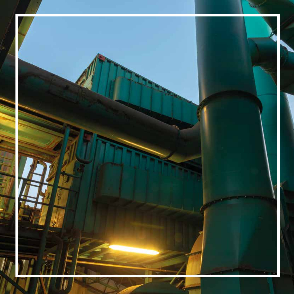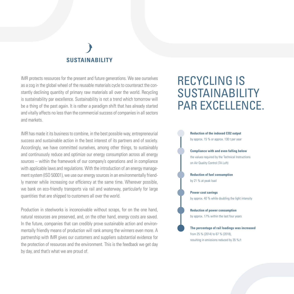### **SUSTAINABILITY**

IMR protects resources for the present and future generations. We see ourselves as a cog in the global wheel of the reusable materials cycle to counteract the constantly declining quantity of primary raw materials all over the world. Recycling is sustainability par excellence. Sustainability is not a trend which tomorrow will be a thing of the past again. It is rather a paradigm shift that has already started and vitally affects no less than the commercial success of companies in all sectors and markets.

IMR has made it its business to combine, in the best possible way, entrepreneurial success and sustainable action in the best interest of its partners and of society. Accordingly, we have committed ourselves, among other things, to sustainably and continuously reduce and optimize our energy consumption across all energy sources – within the framework of our company's operations and in compliance with applicable laws and regulations. With the introduction of an energy management system (ISO 50001), we use our energy sources in an environmentally friendly manner while increasing our efficiency at the same time. Wherever possible, we bank on eco-friendly transports via rail and waterway, particularly for large quantities that are shipped to customers all over the world.

Production in steelworks is inconceivable without scraps, for on the one hand, natural resources are preserved, and, on the other hand, energy costs are saved. In the future, companies that can credibly prove sustainable action and environmentally friendly means of production will rank among the winners even more. A partnership with IMR gives our customers and suppliers substantial evidence for the protection of resources and the environment. This is the feedback we get day by day, and that's what we are proud of.

### RECYCLING IS SUSTAINABILITY PAR EXCELLENCE.

**Reduction of the indexed CO2 output** by approx. 15 % or approx. 130 t per year

**Compliance with and even falling below**  the values required by the Technical Instructions on Air Quality Control (TA Luft)

**Reduction of fuel consumption**  by 21 % at peak load

**Power cost savings**  by approx. 40 % while doubling the light intensity

**Reduction of power consumption**  by approx. 17% within the last four years

**The percentage of rail loadings was increased**  from 25 % (2014) to 67 % (2018) resulting in emissions reduced by 35 %/t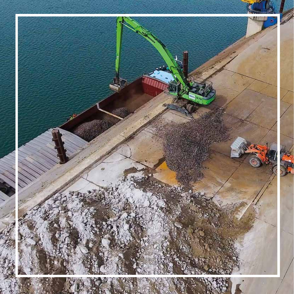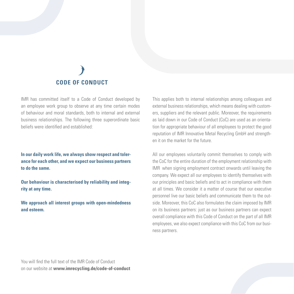# **CODE OF CONDUCT**

IMR has committed itself to a Code of Conduct developed by an employee work group to observe at any time certain modes of behaviour and moral standards, both to internal and external business relationships. The following three superordinate basic beliefs were identified and established:

**In our daily work life, we always show respect and tolerance for each other, and we expect our business partners to do the same.**

**Our behaviour is characterised by reliability and integrity at any time.**

**We approach all interest groups with open-mindedness and esteem.**

This applies both to internal relationships among colleagues and external business relationships, which means dealing with customers, suppliers and the relevant public. Moreover, the requirements as laid down in our Code of Conduct (CoC) are used as an orientation for appropriate behaviour of all employees to protect the good reputation of IMR Innovative Metal Recycling GmbH and strengthen it on the market for the future.

All our employees voluntarily commit themselves to comply with the CoC for the entire duration of the employment relationship with IMR when signing employment contract onwards until leaving the company. We expect all our employees to identify themselves with our principles and basic beliefs and to act in compliance with them at all times. We consider it a matter of course that our executive personnel live our basic beliefs and communicate them to the outside. Moreover, this CoC also formulates the claim imposed by IMR on its business partners: just as our business partners can expect overall compliance with this Code of Conduct on the part of all IMR employees, we also expect compliance with this CoC from our business partners.

You will find the full text of the IMR Code of Conduct on our website at **www.imrecycling.de/code-of-conduct**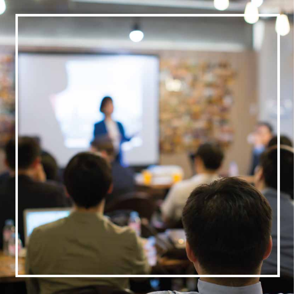